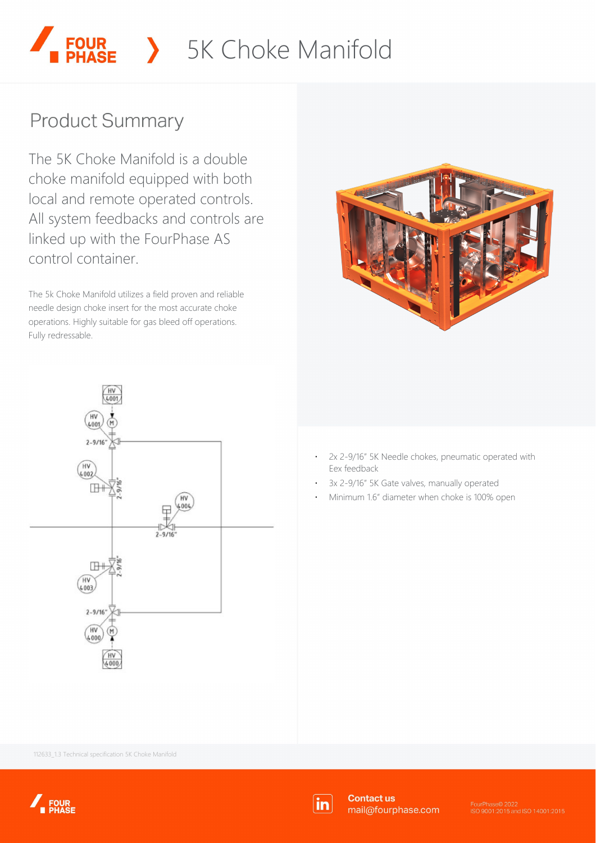# > 5K Choke Manifold

## **Product Summary**

The 5K Choke Manifold is a double choke manifold equipped with both local and remote operated controls. All system feedbacks and controls are linked up with the FourPhase AS control container.

The 5k Choke Manifold utilizes a field proven and reliable needle design choke insert for the most accurate choke operations. Highly suitable for gas bleed off operations. Fully redressable.





- ⋅ 2x 2-9/16" 5K Needle chokes, pneumatic operated with Eex feedback
- 3x 2-9/16" 5K Gate valves, manually operated
- Minimum 1.6" diameter when choke is 100% open

112633\_1.3 Technical specification 5K Choke Manifold